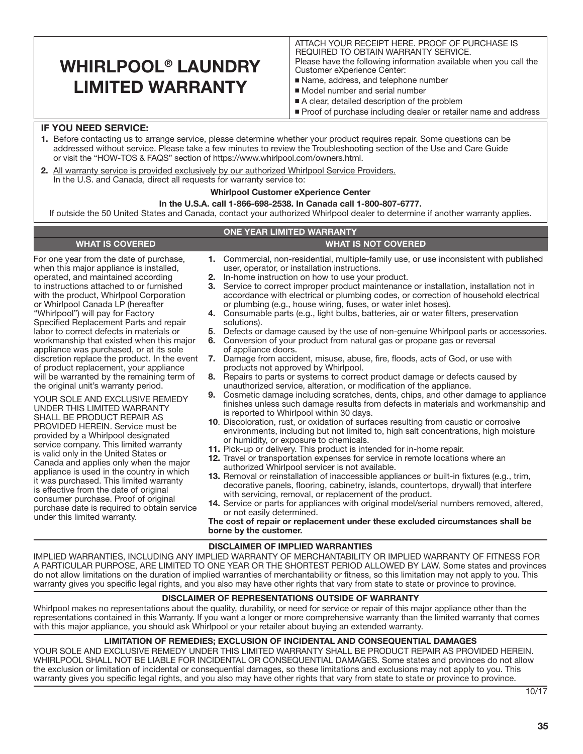## WHIRLPOOL® LAUNDRY LIMITED WARRANTY

ATTACH YOUR RECEIPT HERE. PROOF OF PURCHASE IS REQUIRED TO OBTAIN WARRANTY SERVICE. Please have the following information available when you call the Customer eXperience Center:

- Name, address, and telephone number
- Model number and serial number
- A clear, detailed description of the problem
- Proof of purchase including dealer or retailer name and address

### IF YOU NEED SERVICE:

- 1. Before contacting us to arrange service, please determine whether your product requires repair. Some questions can be addressed without service. Please take a few minutes to review the Troubleshooting section of the Use and Care Guide or visit the "HOW-TOS & FAQS" section of https://www.whirlpool.com/owners.html.
- 2. All warranty service is provided exclusively by our authorized Whirlpool Service Providers. In the U.S. and Canada, direct all requests for warranty service to:

#### Whirlpool Customer eXperience Center

#### In the U.S.A. call 1-866-698-2538. In Canada call 1-800-807-6777.

WHAT IS COVERED WHAT IS NOT COVERED

If outside the 50 United States and Canada, contact your authorized Whirlpool dealer to determine if another warranty applies.

#### ONE YEAR LIMITED WARRANTY

For one year from the date of purchase, when this major appliance is installed, operated, and maintained according to instructions attached to or furnished with the product, Whirlpool Corporation or Whirlpool Canada LP (hereafter "Whirlpool") will pay for Factory Specified Replacement Parts and repair labor to correct defects in materials or workmanship that existed when this major appliance was purchased, or at its sole discretion replace the product. In the event of product replacement, your appliance will be warranted by the remaining term of the original unit's warranty period.

YOUR SOLE AND EXCLUSIVE REMEDY UNDER THIS LIMITED WARRANTY SHALL BE PRODUCT REPAIR AS PROVIDED HEREIN. Service must be provided by a Whirlpool designated service company. This limited warranty is valid only in the United States or Canada and applies only when the major appliance is used in the country in which it was purchased. This limited warranty is effective from the date of original consumer purchase. Proof of original purchase date is required to obtain service under this limited warranty.

- 1. Commercial, non-residential, multiple-family use, or use inconsistent with published user, operator, or installation instructions.
- 2. In-home instruction on how to use your product.
- 3. Service to correct improper product maintenance or installation, installation not in accordance with electrical or plumbing codes, or correction of household electrical or plumbing (e.g., house wiring, fuses, or water inlet hoses).
- 4. Consumable parts (e.g., light bulbs, batteries, air or water filters, preservation solutions).
- 5. Defects or damage caused by the use of non-genuine Whirlpool parts or accessories.
- 6. Conversion of your product from natural gas or propane gas or reversal of appliance doors.
- 7. Damage from accident, misuse, abuse, fire, floods, acts of God, or use with products not approved by Whirlpool.
- 8. Repairs to parts or systems to correct product damage or defects caused by unauthorized service, alteration, or modification of the appliance.
- 9. Cosmetic damage including scratches, dents, chips, and other damage to appliance finishes unless such damage results from defects in materials and workmanship and is reported to Whirlpool within 30 days.
- 10. Discoloration, rust, or oxidation of surfaces resulting from caustic or corrosive environments, including but not limited to, high salt concentrations, high moisture or humidity, or exposure to chemicals.
- 11. Pick-up or delivery. This product is intended for in-home repair.
- 12. Travel or transportation expenses for service in remote locations where an authorized Whirlpool servicer is not available.
- 13. Removal or reinstallation of inaccessible appliances or built-in fixtures (e.g., trim, decorative panels, flooring, cabinetry, islands, countertops, drywall) that interfere with servicing, removal, or replacement of the product.
- 14. Service or parts for appliances with original model/serial numbers removed, altered, or not easily determined.

The cost of repair or replacement under these excluded circumstances shall be borne by the customer.

#### DISCLAIMER OF IMPLIED WARRANTIES

IMPLIED WARRANTIES, INCLUDING ANY IMPLIED WARRANTY OF MERCHANTABILITY OR IMPLIED WARRANTY OF FITNESS FOR A PARTICULAR PURPOSE, ARE LIMITED TO ONE YEAR OR THE SHORTEST PERIOD ALLOWED BY LAW. Some states and provinces do not allow limitations on the duration of implied warranties of merchantability or fitness, so this limitation may not apply to you. This warranty gives you specific legal rights, and you also may have other rights that vary from state to state or province to province.

#### DISCLAIMER OF REPRESENTATIONS OUTSIDE OF WARRANTY

Whirlpool makes no representations about the quality, durability, or need for service or repair of this major appliance other than the representations contained in this Warranty. If you want a longer or more comprehensive warranty than the limited warranty that comes with this major appliance, you should ask Whirlpool or your retailer about buying an extended warranty.

#### LIMITATION OF REMEDIES; EXCLUSION OF INCIDENTAL AND CONSEQUENTIAL DAMAGES

YOUR SOLE AND EXCLUSIVE REMEDY UNDER THIS LIMITED WARRANTY SHALL BE PRODUCT REPAIR AS PROVIDED HEREIN. WHIRLPOOL SHALL NOT BE LIABLE FOR INCIDENTAL OR CONSEQUENTIAL DAMAGES. Some states and provinces do not allow the exclusion or limitation of incidental or consequential damages, so these limitations and exclusions may not apply to you. This warranty gives you specific legal rights, and you also may have other rights that vary from state to state or province to province.